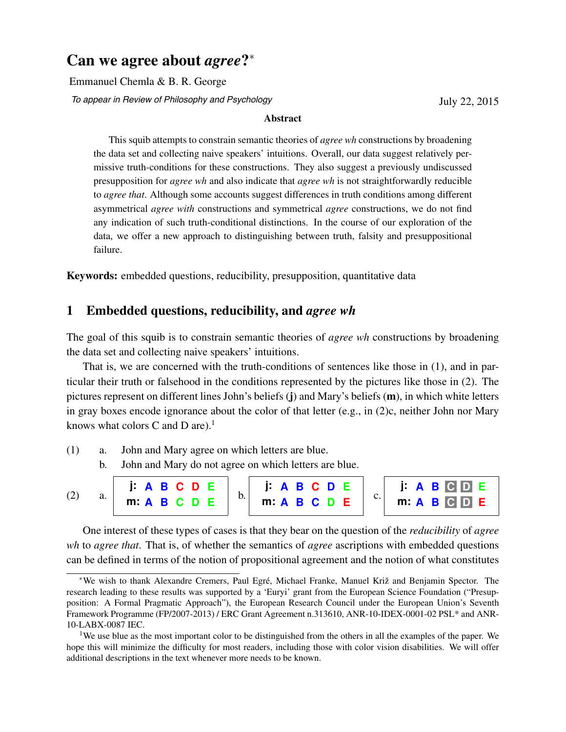# Can we agree about *agree*?<sup>\*</sup>

Emmanuel Chemla & B. R. George

*To appear in Review of Philosophy and Psychology* 

July 22, 2015

#### Abstract

This squib attempts to constrain semantic theories of *agree wh* constructions by broadening the data set and collecting naive speakers' intuitions. Overall, our data suggest relatively permissive truth-conditions for these constructions. They also suggest a previously undiscussed presupposition for *agree wh* and also indicate that *agree wh* is not straightforwardly reducible to *agree that*. Although some accounts suggest differences in truth conditions among different asymmetrical *agree with* constructions and symmetrical *agree* constructions, we do not find any indication of such truth-conditional distinctions. In the course of our exploration of the data, we offer a new approach to distinguishing between truth, falsity and presuppositional failure.

Keywords: embedded questions, reducibility, presupposition, quantitative data

# 1 Embedded questions, reducibility, and *agree wh*

The goal of this squib is to constrain semantic theories of *agree wh* constructions by broadening the data set and collecting naive speakers' intuitions.

That is, we are concerned with the truth-conditions of sentences like those in (1), and in particular their truth or falsehood in the conditions represented by the pictures like those in (2). The pictures represent on different lines John's beliefs (j) and Mary's beliefs (m), in which white letters in gray boxes encode ignorance about the color of that letter (e.g., in (2)c, neither John nor Mary knows what colors C and D are).<sup>1</sup>

- (1) a. John and Mary agree on which letters are blue.
	- b. John and Mary do not agree on which letters are blue.



One interest of these types of cases is that they bear on the question of the *reducibility* of *agree wh* to *agree that*. That is, of whether the semantics of *agree* ascriptions with embedded questions can be defined in terms of the notion of propositional agreement and the notion of what constitutes

We wish to thank Alexandre Cremers, Paul Egré, Michael Franke, Manuel Križ and Benjamin Spector. The research leading to these results was supported by a 'Euryi' grant from the European Science Foundation ("Presupposition: A Formal Pragmatic Approach"), the European Research Council under the European Union's Seventh Framework Programme (FP/2007-2013) / ERC Grant Agreement n.313610, ANR-10-IDEX-0001-02 PSL\* and ANR-10-LABX-0087 IEC.

<sup>&</sup>lt;sup>1</sup>We use blue as the most important color to be distinguished from the others in all the examples of the paper. We hope this will minimize the difficulty for most readers, including those with color vision disabilities. We will offer additional descriptions in the text whenever more needs to be known.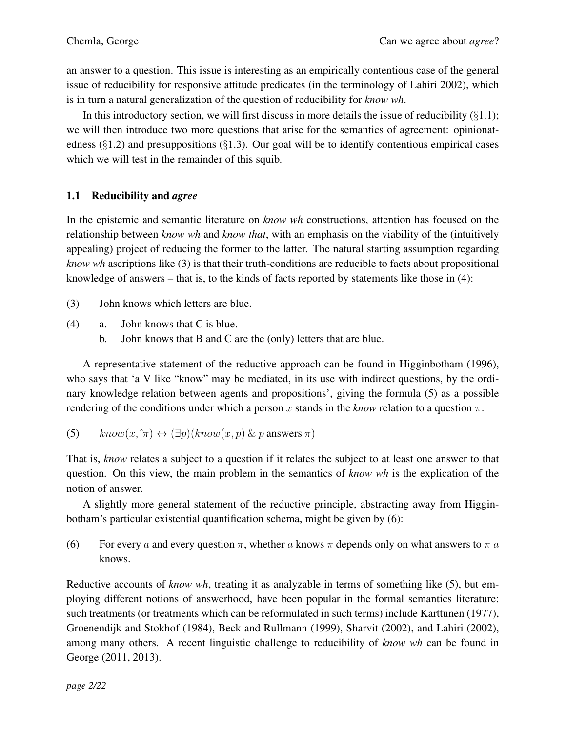an answer to a question. This issue is interesting as an empirically contentious case of the general issue of reducibility for responsive attitude predicates (in the terminology of Lahiri 2002), which is in turn a natural generalization of the question of reducibility for *know wh*.

In this introductory section, we will first discuss in more details the issue of reducibility (*§*1.1); we will then introduce two more questions that arise for the semantics of agreement: opinionatedness (*§*1.2) and presuppositions (*§*1.3). Our goal will be to identify contentious empirical cases which we will test in the remainder of this squib.

### 1.1 Reducibility and *agree*

In the epistemic and semantic literature on *know wh* constructions, attention has focused on the relationship between *know wh* and *know that*, with an emphasis on the viability of the (intuitively appealing) project of reducing the former to the latter. The natural starting assumption regarding *know wh* ascriptions like (3) is that their truth-conditions are reducible to facts about propositional knowledge of answers – that is, to the kinds of facts reported by statements like those in (4):

- (3) John knows which letters are blue.
- (4) a. John knows that C is blue.
	- b. John knows that B and C are the (only) letters that are blue.

A representative statement of the reductive approach can be found in Higginbotham (1996), who says that 'a V like "know" may be mediated, in its use with indirect questions, by the ordinary knowledge relation between agents and propositions', giving the formula (5) as a possible rendering of the conditions under which a person x stands in the *know* relation to a question  $\pi$ .

(5)  $know(x, \hat{\pi}) \leftrightarrow (\exists p)(know(x, p) \& p \text{ answers } \hat{\pi})$ 

That is, *know* relates a subject to a question if it relates the subject to at least one answer to that question. On this view, the main problem in the semantics of *know wh* is the explication of the notion of answer.

A slightly more general statement of the reductive principle, abstracting away from Higginbotham's particular existential quantification schema, might be given by (6):

(6) For every *a* and every question  $\pi$ , whether *a* knows  $\pi$  depends only on what answers to  $\pi$  *a* knows.

Reductive accounts of *know wh*, treating it as analyzable in terms of something like (5), but employing different notions of answerhood, have been popular in the formal semantics literature: such treatments (or treatments which can be reformulated in such terms) include Karttunen (1977), Groenendijk and Stokhof (1984), Beck and Rullmann (1999), Sharvit (2002), and Lahiri (2002), among many others. A recent linguistic challenge to reducibility of *know wh* can be found in George (2011, 2013).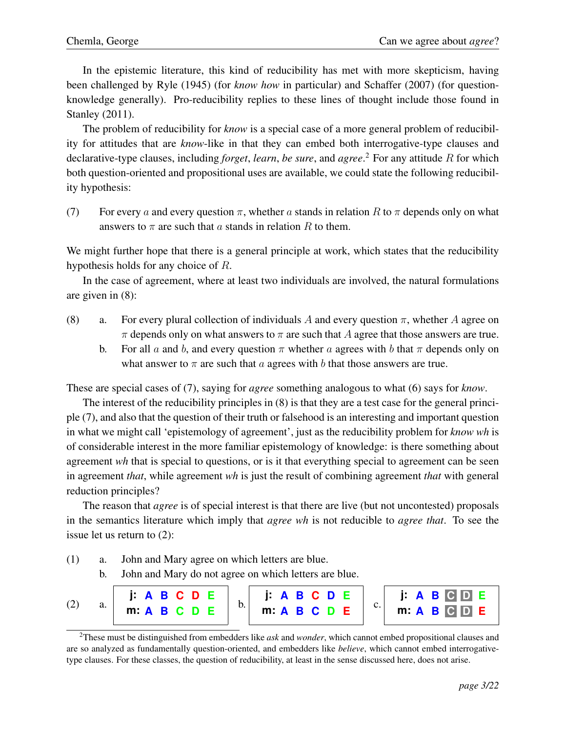In the epistemic literature, this kind of reducibility has met with more skepticism, having been challenged by Ryle (1945) (for *know how* in particular) and Schaffer (2007) (for questionknowledge generally). Pro-reducibility replies to these lines of thought include those found in Stanley (2011).

The problem of reducibility for *know* is a special case of a more general problem of reducibility for attitudes that are *know*-like in that they can embed both interrogative-type clauses and declarative-type clauses, including *forget*, *learn*, *be sure*, and *agree*. <sup>2</sup> For any attitude *R* for which both question-oriented and propositional uses are available, we could state the following reducibility hypothesis:

(7) For every *a* and every question  $\pi$ , whether *a* stands in relation *R* to  $\pi$  depends only on what answers to  $\pi$  are such that *a* stands in relation *R* to them.

We might further hope that there is a general principle at work, which states that the reducibility hypothesis holds for any choice of *R*.

In the case of agreement, where at least two individuals are involved, the natural formulations are given in (8):

- (8) a. For every plural collection of individuals A and every question  $\pi$ , whether A agree on  $\pi$  depends only on what answers to  $\pi$  are such that *A* agree that those answers are true.
	- b. For all a and b, and every question  $\pi$  whether a agrees with b that  $\pi$  depends only on what answer to  $\pi$  are such that *a* agrees with *b* that those answers are true.

These are special cases of (7), saying for *agree* something analogous to what (6) says for *know*.

The interest of the reducibility principles in (8) is that they are a test case for the general principle (7), and also that the question of their truth or falsehood is an interesting and important question in what we might call 'epistemology of agreement', just as the reducibility problem for *know wh* is of considerable interest in the more familiar epistemology of knowledge: is there something about agreement *wh* that is special to questions, or is it that everything special to agreement can be seen in agreement *that*, while agreement *wh* is just the result of combining agreement *that* with general reduction principles?

The reason that *agree* is of special interest is that there are live (but not uncontested) proposals in the semantics literature which imply that *agree wh* is not reducible to *agree that*. To see the issue let us return to (2):

- (1) a. John and Mary agree on which letters are blue.
	- b. John and Mary do not agree on which letters are blue.

|  |  |  | J: A B C D E     J: A B C D E     J: A B C D E |  |
|--|--|--|------------------------------------------------|--|
|  |  |  |                                                |  |

<sup>2</sup>These must be distinguished from embedders like *ask* and *wonder*, which cannot embed propositional clauses and are so analyzed as fundamentally question-oriented, and embedders like *believe*, which cannot embed interrogativetype clauses. For these classes, the question of reducibility, at least in the sense discussed here, does not arise.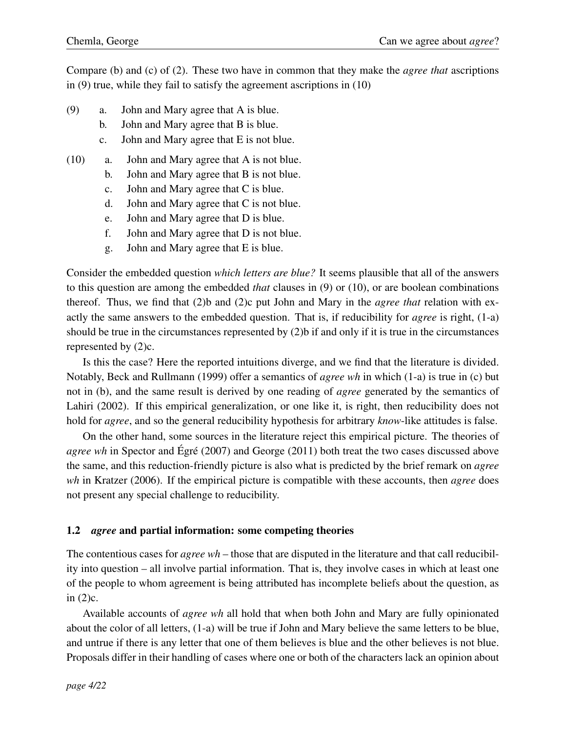Compare (b) and (c) of (2). These two have in common that they make the *agree that* ascriptions in (9) true, while they fail to satisfy the agreement ascriptions in (10)

- (9) a. John and Mary agree that A is blue.
	- b. John and Mary agree that B is blue.
	- c. John and Mary agree that E is not blue.
- (10) a. John and Mary agree that A is not blue.
	- b. John and Mary agree that B is not blue.
	- c. John and Mary agree that C is blue.
	- d. John and Mary agree that C is not blue.
	- e. John and Mary agree that D is blue.
	- f. John and Mary agree that D is not blue.
	- g. John and Mary agree that E is blue.

Consider the embedded question *which letters are blue?* It seems plausible that all of the answers to this question are among the embedded *that* clauses in (9) or (10), or are boolean combinations thereof. Thus, we find that (2)b and (2)c put John and Mary in the *agree that* relation with exactly the same answers to the embedded question. That is, if reducibility for *agree* is right, (1-a) should be true in the circumstances represented by (2)b if and only if it is true in the circumstances represented by (2)c.

Is this the case? Here the reported intuitions diverge, and we find that the literature is divided. Notably, Beck and Rullmann (1999) offer a semantics of *agree wh* in which (1-a) is true in (c) but not in (b), and the same result is derived by one reading of *agree* generated by the semantics of Lahiri (2002). If this empirical generalization, or one like it, is right, then reducibility does not hold for *agree*, and so the general reducibility hypothesis for arbitrary *know*-like attitudes is false.

On the other hand, some sources in the literature reject this empirical picture. The theories of *agree wh* in Spector and Égré (2007) and George (2011) both treat the two cases discussed above the same, and this reduction-friendly picture is also what is predicted by the brief remark on *agree wh* in Kratzer (2006). If the empirical picture is compatible with these accounts, then *agree* does not present any special challenge to reducibility.

### 1.2 *agree* and partial information: some competing theories

The contentious cases for *agree wh* – those that are disputed in the literature and that call reducibility into question – all involve partial information. That is, they involve cases in which at least one of the people to whom agreement is being attributed has incomplete beliefs about the question, as in (2)c.

Available accounts of *agree wh* all hold that when both John and Mary are fully opinionated about the color of all letters, (1-a) will be true if John and Mary believe the same letters to be blue, and untrue if there is any letter that one of them believes is blue and the other believes is not blue. Proposals differ in their handling of cases where one or both of the characters lack an opinion about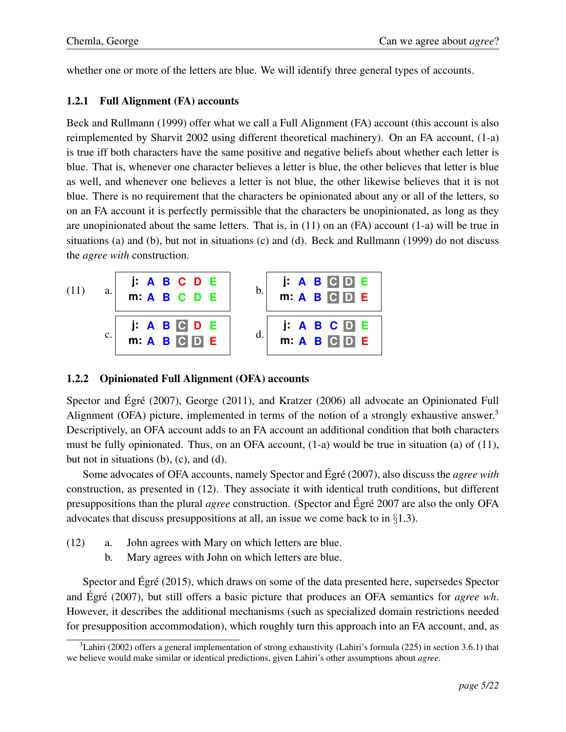whether one or more of the letters are blue. We will identify three general types of accounts.

#### 1.2.1 Full Alignment (FA) accounts

Beck and Rullmann (1999) offer what we call a Full Alignment (FA) account (this account is also reimplemented by Sharvit 2002 using different theoretical machinery). On an FA account, (1-a) is true iff both characters have the same positive and negative beliefs about whether each letter is blue. That is, whenever one character believes a letter is blue, the other believes that letter is blue as well, and whenever one believes a letter is not blue, the other likewise believes that it is not blue. There is no requirement that the characters be opinionated about any or all of the letters, so on an FA account it is perfectly permissible that the characters be unopinionated, as long as they are unopinionated about the same letters. That is, in  $(11)$  on an  $(FA)$  account  $(1-a)$  will be true in situations (a) and (b), but not in situations (c) and (d). Beck and Rullmann (1999) do not discuss the *agree with* construction.



### 1.2.2 Opinionated Full Alignment (OFA) accounts

Spector and Égré  $(2007)$ , George  $(2011)$ , and Kratzer  $(2006)$  all advocate an Opinionated Full Alignment (OFA) picture, implemented in terms of the notion of a strongly exhaustive answer.<sup>3</sup> Descriptively, an OFA account adds to an FA account an additional condition that both characters must be fully opinionated. Thus, on an OFA account, (1-a) would be true in situation (a) of (11), but not in situations (b), (c), and (d).

Some advocates of OFA accounts, namely Spector and Égré (2007), also discuss the *agree with* construction, as presented in (12). They associate it with identical truth conditions, but different presuppositions than the plural *agree* construction. (Spector and Egré 2007 are also the only OFA advocates that discuss presuppositions at all, an issue we come back to in *§*1.3).

- (12) a. John agrees with Mary on which letters are blue.
	- b. Mary agrees with John on which letters are blue.

Spector and Égré  $(2015)$ , which draws on some of the data presented here, supersedes Spector and Egré (2007), but still offers a basic picture that produces an OFA semantics for *agree wh*. However, it describes the additional mechanisms (such as specialized domain restrictions needed for presupposition accommodation), which roughly turn this approach into an FA account, and, as

 $3$ Lahiri (2002) offers a general implementation of strong exhaustivity (Lahiri's formula (225) in section 3.6.1) that we believe would make similar or identical predictions, given Lahiri's other assumptions about *agree*.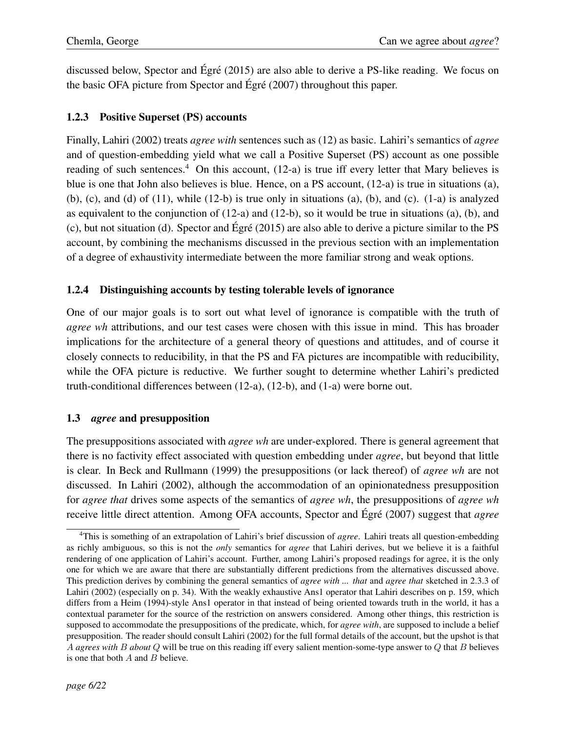discussed below, Spector and Égré  $(2015)$  are also able to derive a PS-like reading. We focus on the basic OFA picture from Spector and Égré  $(2007)$  throughout this paper.

## 1.2.3 Positive Superset (PS) accounts

Finally, Lahiri (2002) treats *agree with* sentences such as (12) as basic. Lahiri's semantics of *agree* and of question-embedding yield what we call a Positive Superset (PS) account as one possible reading of such sentences.<sup>4</sup> On this account,  $(12-a)$  is true iff every letter that Mary believes is blue is one that John also believes is blue. Hence, on a PS account, (12-a) is true in situations (a), (b), (c), and (d) of (11), while (12-b) is true only in situations (a), (b), and (c). (1-a) is analyzed as equivalent to the conjunction of (12-a) and (12-b), so it would be true in situations (a), (b), and (c), but not situation (d). Spector and  $\angle E$ gré (2015) are also able to derive a picture similar to the PS account, by combining the mechanisms discussed in the previous section with an implementation of a degree of exhaustivity intermediate between the more familiar strong and weak options.

## 1.2.4 Distinguishing accounts by testing tolerable levels of ignorance

One of our major goals is to sort out what level of ignorance is compatible with the truth of *agree wh* attributions, and our test cases were chosen with this issue in mind. This has broader implications for the architecture of a general theory of questions and attitudes, and of course it closely connects to reducibility, in that the PS and FA pictures are incompatible with reducibility, while the OFA picture is reductive. We further sought to determine whether Lahiri's predicted truth-conditional differences between (12-a), (12-b), and (1-a) were borne out.

### 1.3 *agree* and presupposition

The presuppositions associated with *agree wh* are under-explored. There is general agreement that there is no factivity effect associated with question embedding under *agree*, but beyond that little is clear. In Beck and Rullmann (1999) the presuppositions (or lack thereof) of *agree wh* are not discussed. In Lahiri (2002), although the accommodation of an opinionatedness presupposition for *agree that* drives some aspects of the semantics of *agree wh*, the presuppositions of *agree wh* receive little direct attention. Among OFA accounts, Spector and Égré (2007) suggest that *agree* 

<sup>4</sup>This is something of an extrapolation of Lahiri's brief discussion of *agree*. Lahiri treats all question-embedding as richly ambiguous, so this is not the *only* semantics for *agree* that Lahiri derives, but we believe it is a faithful rendering of one application of Lahiri's account. Further, among Lahiri's proposed readings for agree, it is the only one for which we are aware that there are substantially different predictions from the alternatives discussed above. This prediction derives by combining the general semantics of *agree with ... that* and *agree that* sketched in 2.3.3 of Lahiri (2002) (especially on p. 34). With the weakly exhaustive Ans1 operator that Lahiri describes on p. 159, which differs from a Heim (1994)-style Ans1 operator in that instead of being oriented towards truth in the world, it has a contextual parameter for the source of the restriction on answers considered. Among other things, this restriction is supposed to accommodate the presuppositions of the predicate, which, for *agree with*, are supposed to include a belief presupposition. The reader should consult Lahiri (2002) for the full formal details of the account, but the upshot is that *A agrees with B about Q* will be true on this reading iff every salient mention-some-type answer to *Q* that *B* believes is one that both *A* and *B* believe.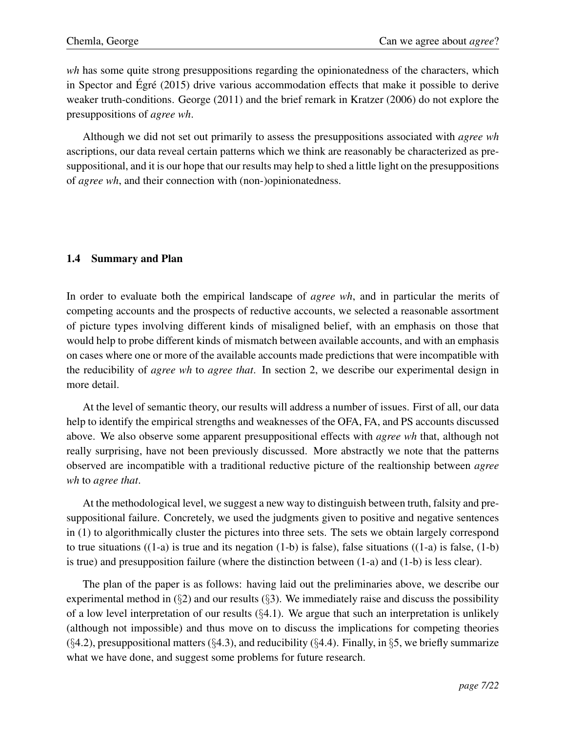*wh* has some quite strong presuppositions regarding the opinionatedness of the characters, which in Spector and Egré  $(2015)$  drive various accommodation effects that make it possible to derive weaker truth-conditions. George (2011) and the brief remark in Kratzer (2006) do not explore the presuppositions of *agree wh*.

Although we did not set out primarily to assess the presuppositions associated with *agree wh* ascriptions, our data reveal certain patterns which we think are reasonably be characterized as presuppositional, and it is our hope that our results may help to shed a little light on the presuppositions of *agree wh*, and their connection with (non-)opinionatedness.

### 1.4 Summary and Plan

In order to evaluate both the empirical landscape of *agree wh*, and in particular the merits of competing accounts and the prospects of reductive accounts, we selected a reasonable assortment of picture types involving different kinds of misaligned belief, with an emphasis on those that would help to probe different kinds of mismatch between available accounts, and with an emphasis on cases where one or more of the available accounts made predictions that were incompatible with the reducibility of *agree wh* to *agree that*. In section 2, we describe our experimental design in more detail.

At the level of semantic theory, our results will address a number of issues. First of all, our data help to identify the empirical strengths and weaknesses of the OFA, FA, and PS accounts discussed above. We also observe some apparent presuppositional effects with *agree wh* that, although not really surprising, have not been previously discussed. More abstractly we note that the patterns observed are incompatible with a traditional reductive picture of the realtionship between *agree wh* to *agree that*.

At the methodological level, we suggest a new way to distinguish between truth, falsity and presuppositional failure. Concretely, we used the judgments given to positive and negative sentences in (1) to algorithmically cluster the pictures into three sets. The sets we obtain largely correspond to true situations  $((1-a)$  is true and its negation  $(1-b)$  is false), false situations  $((1-a)$  is false,  $(1-b)$ is true) and presupposition failure (where the distinction between (1-a) and (1-b) is less clear).

The plan of the paper is as follows: having laid out the preliminaries above, we describe our experimental method in (*§*2) and our results (*§*3). We immediately raise and discuss the possibility of a low level interpretation of our results (*§*4.1). We argue that such an interpretation is unlikely (although not impossible) and thus move on to discuss the implications for competing theories (*§*4.2), presuppositional matters (*§*4.3), and reducibility (*§*4.4). Finally, in *§*5, we briefly summarize what we have done, and suggest some problems for future research.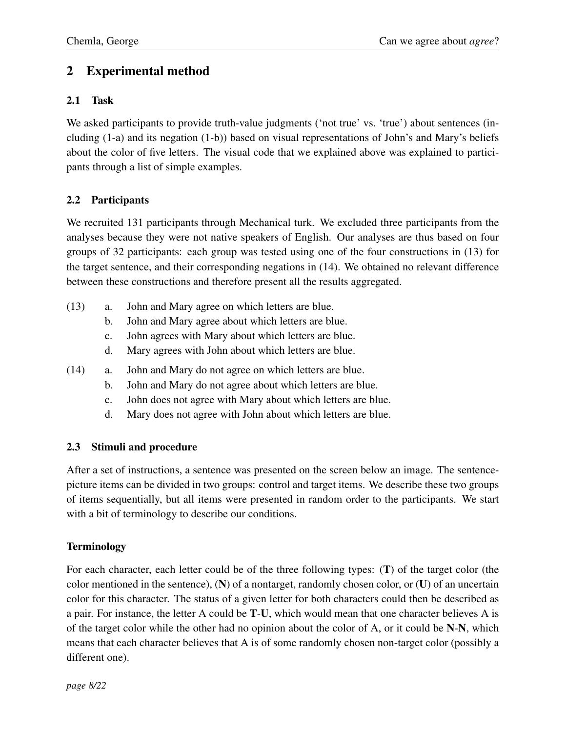# 2 Experimental method

# 2.1 Task

We asked participants to provide truth-value judgments ('not true' vs. 'true') about sentences (including (1-a) and its negation (1-b)) based on visual representations of John's and Mary's beliefs about the color of five letters. The visual code that we explained above was explained to participants through a list of simple examples.

# 2.2 Participants

We recruited 131 participants through Mechanical turk. We excluded three participants from the analyses because they were not native speakers of English. Our analyses are thus based on four groups of 32 participants: each group was tested using one of the four constructions in (13) for the target sentence, and their corresponding negations in (14). We obtained no relevant difference between these constructions and therefore present all the results aggregated.

- (13) a. John and Mary agree on which letters are blue.
	- b. John and Mary agree about which letters are blue.
	- c. John agrees with Mary about which letters are blue.
	- d. Mary agrees with John about which letters are blue.
- (14) a. John and Mary do not agree on which letters are blue.
	- b. John and Mary do not agree about which letters are blue.
	- c. John does not agree with Mary about which letters are blue.
	- d. Mary does not agree with John about which letters are blue.

# 2.3 Stimuli and procedure

After a set of instructions, a sentence was presented on the screen below an image. The sentencepicture items can be divided in two groups: control and target items. We describe these two groups of items sequentially, but all items were presented in random order to the participants. We start with a bit of terminology to describe our conditions.

# Terminology

For each character, each letter could be of the three following types: (T) of the target color (the color mentioned in the sentence),  $(N)$  of a nontarget, randomly chosen color, or  $(U)$  of an uncertain color for this character. The status of a given letter for both characters could then be described as a pair. For instance, the letter A could be T-U, which would mean that one character believes A is of the target color while the other had no opinion about the color of A, or it could be N-N, which means that each character believes that A is of some randomly chosen non-target color (possibly a different one).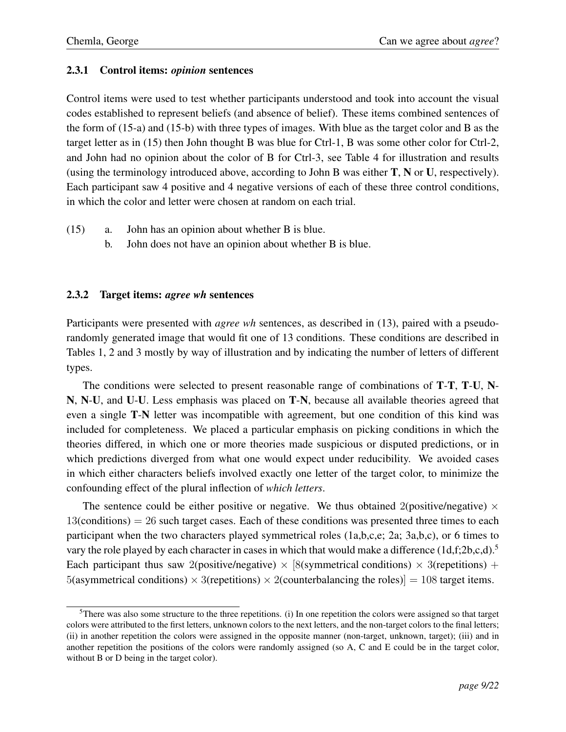### 2.3.1 Control items: *opinion* sentences

Control items were used to test whether participants understood and took into account the visual codes established to represent beliefs (and absence of belief). These items combined sentences of the form of (15-a) and (15-b) with three types of images. With blue as the target color and B as the target letter as in (15) then John thought B was blue for Ctrl-1, B was some other color for Ctrl-2, and John had no opinion about the color of B for Ctrl-3, see Table 4 for illustration and results (using the terminology introduced above, according to John B was either T, N or U, respectively). Each participant saw 4 positive and 4 negative versions of each of these three control conditions, in which the color and letter were chosen at random on each trial.

- (15) a. John has an opinion about whether B is blue.
	- b. John does not have an opinion about whether B is blue.

### 2.3.2 Target items: *agree wh* sentences

Participants were presented with *agree wh* sentences, as described in (13), paired with a pseudorandomly generated image that would fit one of 13 conditions. These conditions are described in Tables 1, 2 and 3 mostly by way of illustration and by indicating the number of letters of different types.

The conditions were selected to present reasonable range of combinations of T-T, T-U, N-N, N-U, and U-U. Less emphasis was placed on T-N, because all available theories agreed that even a single T-N letter was incompatible with agreement, but one condition of this kind was included for completeness. We placed a particular emphasis on picking conditions in which the theories differed, in which one or more theories made suspicious or disputed predictions, or in which predictions diverged from what one would expect under reducibility. We avoided cases in which either characters beliefs involved exactly one letter of the target color, to minimize the confounding effect of the plural inflection of *which letters*.

The sentence could be either positive or negative. We thus obtained 2(positive/negative)  $\times$  $13$ (conditions) = 26 such target cases. Each of these conditions was presented three times to each participant when the two characters played symmetrical roles (1a,b,c,e; 2a; 3a,b,c), or 6 times to vary the role played by each character in cases in which that would make a difference  $(1d,f;2b,c,d)$ .<sup>5</sup> Each participant thus saw 2(positive/negative)  $\times$  [8(symmetrical conditions)  $\times$  3(repetitions) +  $5$ (asymmetrical conditions)  $\times$  3(repetitions)  $\times$  2(counterbalancing the roles)] = 108 target items.

<sup>&</sup>lt;sup>5</sup>There was also some structure to the three repetitions. (i) In one repetition the colors were assigned so that target colors were attributed to the first letters, unknown colors to the next letters, and the non-target colors to the final letters; (ii) in another repetition the colors were assigned in the opposite manner (non-target, unknown, target); (iii) and in another repetition the positions of the colors were randomly assigned (so A, C and E could be in the target color, without B or D being in the target color).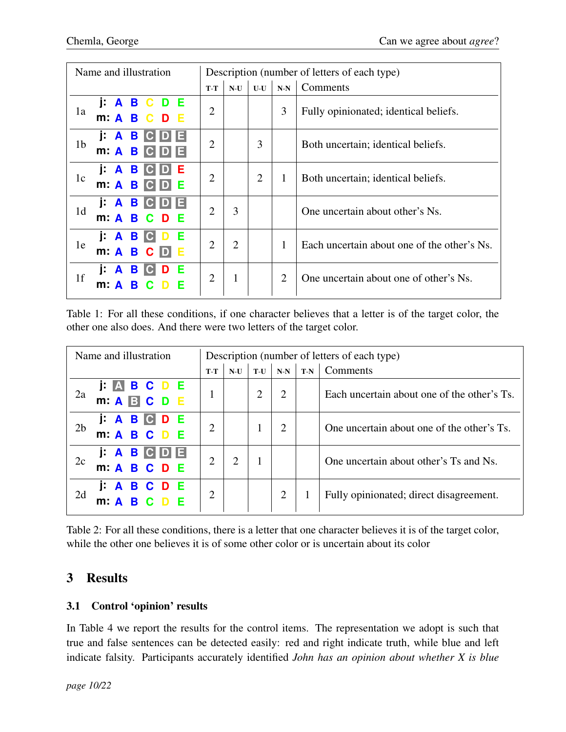| Name and illustration                                                      |                             | Description (number of letters of each type) |                |                |                                             |  |
|----------------------------------------------------------------------------|-----------------------------|----------------------------------------------|----------------|----------------|---------------------------------------------|--|
|                                                                            | $T-T$                       | Comments<br>$U-U$<br>$N-N$<br>$N-U$          |                |                |                                             |  |
| j: A B C D E<br>1a<br>$m: A \tB C D$                                       | $\overline{2}$              |                                              |                | 3              | Fully opinionated; identical beliefs.       |  |
| i: A B<br>Е<br>$C$ D<br>1 <sub>b</sub><br>$m \nightharpoonup A$<br>B<br>C. | $\overline{2}$              |                                              | 3              |                | Both uncertain; identical beliefs.          |  |
| j: A B<br>Е<br><b>CID</b><br>1c<br>$m: A \, B$<br>$\bullet$                | $\overline{2}$              |                                              | $\overline{2}$ | 1              | Both uncertain; identical beliefs.          |  |
| B<br>I A<br>E<br>C.<br>D<br>1 <sub>d</sub><br>m: A<br>B C D<br>- E         | $\overline{2}$              | 3                                            |                |                | One uncertain about other's Ns.             |  |
| j: A B<br>$\bullet$<br>Е<br>1e<br>m: A B C D<br>-E                         | $\mathcal{D}_{\mathcal{L}}$ | $\overline{2}$                               |                | 1              | Each uncertain about one of the other's Ns. |  |
| j: A B<br>$ {\bf C} $<br>D<br>1 <sub>f</sub><br>B<br>m: A                  | $\overline{2}$              | 1                                            |                | $\overline{2}$ | One uncertain about one of other's Ns.      |  |

Table 1: For all these conditions, if one character believes that a letter is of the target color, the other one also does. And there were two letters of the target color.

| Name and illustration                                                              |                | Description (number of letters of each type) |                |       |       |                                             |  |  |
|------------------------------------------------------------------------------------|----------------|----------------------------------------------|----------------|-------|-------|---------------------------------------------|--|--|
|                                                                                    | $T-T$          | $N-U$                                        | $T-U$          | $N-N$ | $T-N$ | Comments                                    |  |  |
| <b>J: ABCDE</b><br>2a<br>$m: A \triangleright C \triangleright D \triangleright E$ | $\mathbf{1}$   |                                              | $\overline{2}$ | 2     |       | Each uncertain about one of the other's Ts. |  |  |
| <b>JABCDE</b><br>2 <sub>b</sub><br>m: A B C D E                                    | $\overline{2}$ |                                              |                | 2     |       | One uncertain about one of the other's Ts.  |  |  |
| <b>J A B C D E</b><br>2c<br>m: A B C D E                                           | $\overline{2}$ | 2                                            |                |       |       | One uncertain about other's Ts and Ns.      |  |  |
| <b>ABCDE</b><br>2d<br>m: A B C D E                                                 | $\overline{2}$ |                                              |                | 2     |       | Fully opinionated; direct disagreement.     |  |  |

Table 2: For all these conditions, there is a letter that one character believes it is of the target color, while the other one believes it is of some other color or is uncertain about its color

# 3 Results

# 3.1 Control 'opinion' results

In Table 4 we report the results for the control items. The representation we adopt is such that true and false sentences can be detected easily: red and right indicate truth, while blue and left indicate falsity. Participants accurately identified *John has an opinion about whether X is blue*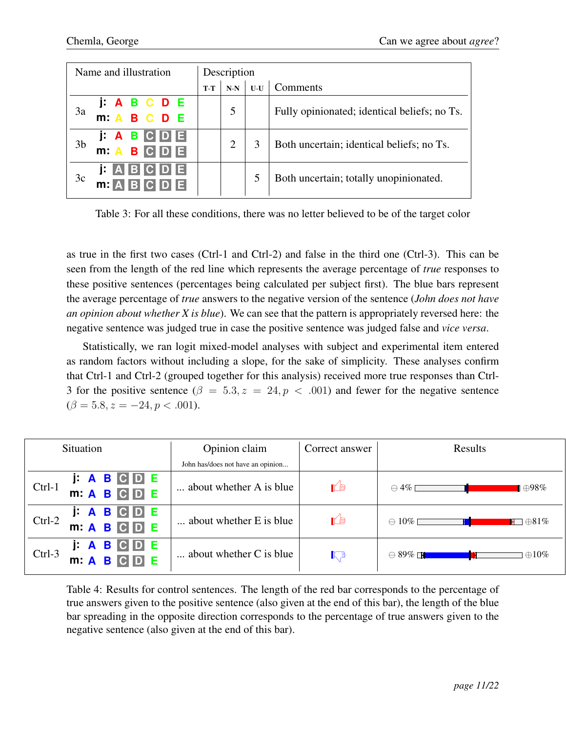| Name and illustration |                                                       | Description |       |       |                                              |  |  |
|-----------------------|-------------------------------------------------------|-------------|-------|-------|----------------------------------------------|--|--|
|                       |                                                       | $T-T$       | $N-N$ | $U-U$ | Comments                                     |  |  |
| 3a                    | J: A B C D E<br>m: A B C D E                          |             | 5     |       | Fully opinionated; identical beliefs; no Ts. |  |  |
| 3 <sub>b</sub>        | <b>J A B C D E</b><br>BCDE<br>m: A                    |             |       | 3     | Both uncertain; identical beliefs; no Ts.    |  |  |
| 3c                    | <b>BC</b><br>E<br>j: I<br>$\mathbb{A}$<br>m: <b>A</b> |             |       | 5     | Both uncertain; totally unopinionated.       |  |  |

Table 3: For all these conditions, there was no letter believed to be of the target color

as true in the first two cases (Ctrl-1 and Ctrl-2) and false in the third one (Ctrl-3). This can be seen from the length of the red line which represents the average percentage of *true* responses to these positive sentences (percentages being calculated per subject first). The blue bars represent the average percentage of *true* answers to the negative version of the sentence (*John does not have an opinion about whether X is blue*). We can see that the pattern is appropriately reversed here: the negative sentence was judged true in case the positive sentence was judged false and *vice versa*.

Statistically, we ran logit mixed-model analyses with subject and experimental item entered as random factors without including a slope, for the sake of simplicity. These analyses confirm that Ctrl-1 and Ctrl-2 (grouped together for this analysis) received more true responses than Ctrl-3 for the positive sentence  $(\beta = 5.3, z = 24, p < .001)$  and fewer for the negative sentence  $(\beta = 5.8, z = -24, p < .001).$ 

| Situation                                                                        | Opinion claim                     | Correct answer | Results                               |  |  |  |
|----------------------------------------------------------------------------------|-----------------------------------|----------------|---------------------------------------|--|--|--|
|                                                                                  | John has/does not have an opinion |                |                                       |  |  |  |
| j: A B<br>CDE<br>$Ctrl-1$<br>m: A B C D E                                        | about whether A is blue           | Ľŧ             | $\ominus$ 4% [<br>⊦⊕98%               |  |  |  |
| j: A B<br>D E<br>$Ctrl-2$<br>m: A B C D E                                        | about whether E is blue           | Ľŧ             | $\ominus$ 10% Г<br>$\oplus 81\%$<br>H |  |  |  |
| $\cdot$ A $\cdot$<br>Е<br>j:<br>B<br>$\vert D \vert$<br>$Ctrl-3$<br>m: A B C D E | $\ldots$ about whether C is blue  | $\mathbb{C}^3$ | $\ominus$ 89% $\Box$<br>$\oplus 10\%$ |  |  |  |

Table 4: Results for control sentences. The length of the red bar corresponds to the percentage of true answers given to the positive sentence (also given at the end of this bar), the length of the blue bar spreading in the opposite direction corresponds to the percentage of true answers given to the negative sentence (also given at the end of this bar).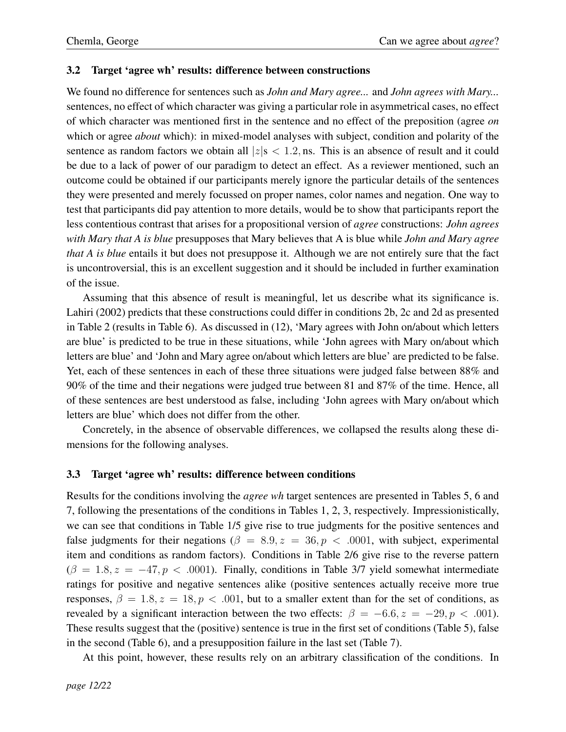#### 3.2 Target 'agree wh' results: difference between constructions

We found no difference for sentences such as *John and Mary agree...* and *John agrees with Mary...* sentences, no effect of which character was giving a particular role in asymmetrical cases, no effect of which character was mentioned first in the sentence and no effect of the preposition (agree *on* which or agree *about* which): in mixed-model analyses with subject, condition and polarity of the sentence as random factors we obtain all  $|z|$ **s**  $\lt$  1.2, ns. This is an absence of result and it could be due to a lack of power of our paradigm to detect an effect. As a reviewer mentioned, such an outcome could be obtained if our participants merely ignore the particular details of the sentences they were presented and merely focussed on proper names, color names and negation. One way to test that participants did pay attention to more details, would be to show that participants report the less contentious contrast that arises for a propositional version of *agree* constructions: *John agrees with Mary that A is blue* presupposes that Mary believes that A is blue while *John and Mary agree that A is blue* entails it but does not presuppose it. Although we are not entirely sure that the fact is uncontroversial, this is an excellent suggestion and it should be included in further examination of the issue.

Assuming that this absence of result is meaningful, let us describe what its significance is. Lahiri (2002) predicts that these constructions could differ in conditions 2b, 2c and 2d as presented in Table 2 (results in Table 6). As discussed in (12), 'Mary agrees with John on/about which letters are blue' is predicted to be true in these situations, while 'John agrees with Mary on/about which letters are blue' and 'John and Mary agree on/about which letters are blue' are predicted to be false. Yet, each of these sentences in each of these three situations were judged false between 88% and 90% of the time and their negations were judged true between 81 and 87% of the time. Hence, all of these sentences are best understood as false, including 'John agrees with Mary on/about which letters are blue' which does not differ from the other.

Concretely, in the absence of observable differences, we collapsed the results along these dimensions for the following analyses.

### 3.3 Target 'agree wh' results: difference between conditions

Results for the conditions involving the *agree wh* target sentences are presented in Tables 5, 6 and 7, following the presentations of the conditions in Tables 1, 2, 3, respectively. Impressionistically, we can see that conditions in Table 1/5 give rise to true judgments for the positive sentences and false judgments for their negations ( $\beta = 8.9$ ,  $z = 36$ ,  $p < .0001$ , with subject, experimental item and conditions as random factors). Conditions in Table 2/6 give rise to the reverse pattern  $(\beta = 1.8, z = -47, p < .0001)$ . Finally, conditions in Table 3/7 yield somewhat intermediate ratings for positive and negative sentences alike (positive sentences actually receive more true responses,  $\beta = 1.8, z = 18, p < .001$ , but to a smaller extent than for the set of conditions, as revealed by a significant interaction between the two effects:  $\beta = -6.6$ ,  $z = -29$ ,  $p < .001$ ). These results suggest that the (positive) sentence is true in the first set of conditions (Table 5), false in the second (Table 6), and a presupposition failure in the last set (Table 7).

At this point, however, these results rely on an arbitrary classification of the conditions. In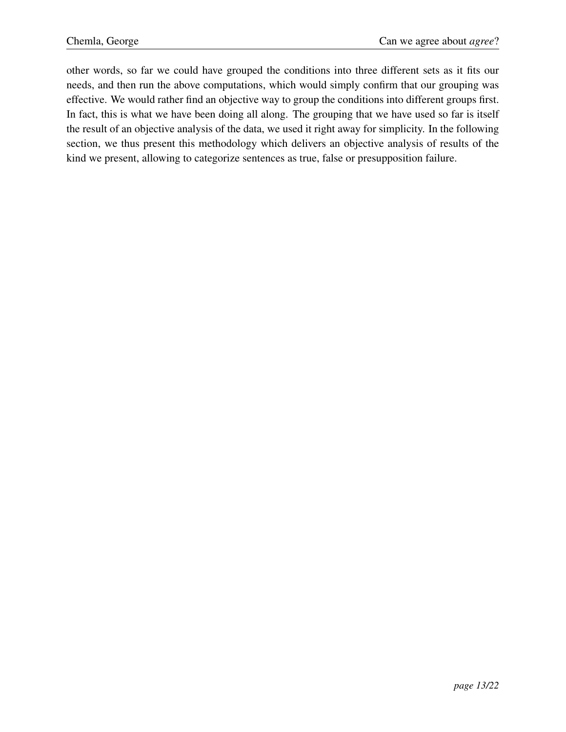other words, so far we could have grouped the conditions into three different sets as it fits our needs, and then run the above computations, which would simply confirm that our grouping was effective. We would rather find an objective way to group the conditions into different groups first. In fact, this is what we have been doing all along. The grouping that we have used so far is itself the result of an objective analysis of the data, we used it right away for simplicity. In the following section, we thus present this methodology which delivers an objective analysis of results of the kind we present, allowing to categorize sentences as true, false or presupposition failure.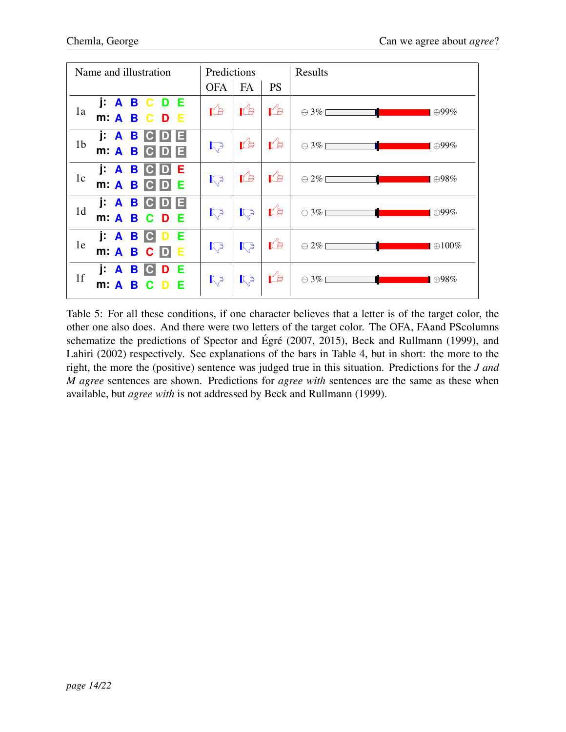| Name and illustration                                                                   | Predictions     |                 |            | Results                                     |
|-----------------------------------------------------------------------------------------|-----------------|-----------------|------------|---------------------------------------------|
|                                                                                         | <b>OFA</b>      | FA              | <b>PS</b>  |                                             |
| <b>I A B C D E</b><br>1a<br>m: A B C D E                                                | Ľŧ              | <b>K</b>        | ré,        | $\ominus$ 3%<br>$\oplus$ 99%                |
| i: A B<br>E<br><b>IG</b><br>1 <sub>b</sub><br>$m \nightharpoonup A$<br>B<br>$ {\bf C} $ | $R_{\geqslant}$ | <b>I</b>        | <b>ILE</b> | T.<br>$\ominus$ 3%<br>$\oplus$ 99%          |
| j: A B<br>E<br>$ {\bf C} $<br>D<br>1c<br>$m: A \ B$ $C$<br>E<br>D                       | $R_{\geqslant}$ | rê,             | rb.        | $\ominus$ 2%<br>$\blacksquare$ $\oplus$ 98% |
| j: A B<br>$ {\bf C} $<br>1 <sub>d</sub><br>m: A B C D E                                 | $\mathbb{R}^3$  | $\mathbb{R}^3$  | ré,        | $\ominus$ 3%<br>$\vert \oplus 99\%$         |
| i: A B C<br>-E<br>1e<br>m: A B C D<br>-E                                                | $\mathbb{R}^3$  | $R_{\geqslant}$ | <b>I</b>   | $\oplus 100\%$                              |
| j: A B C<br>D E<br>1 <sub>f</sub><br>- E<br>m: A<br>- C<br>B.                           | $\mathbb{R}^3$  | $\mathbb{R}^3$  | ⊯          | $\ominus$ 3%<br>$\blacksquare$ $\oplus$ 98% |

Table 5: For all these conditions, if one character believes that a letter is of the target color, the other one also does. And there were two letters of the target color. The OFA, FAand PScolumns schematize the predictions of Spector and Égré  $(2007, 2015)$ , Beck and Rullmann  $(1999)$ , and Lahiri (2002) respectively. See explanations of the bars in Table 4, but in short: the more to the right, the more the (positive) sentence was judged true in this situation. Predictions for the *J and M agree* sentences are shown. Predictions for *agree with* sentences are the same as these when available, but *agree with* is not addressed by Beck and Rullmann (1999).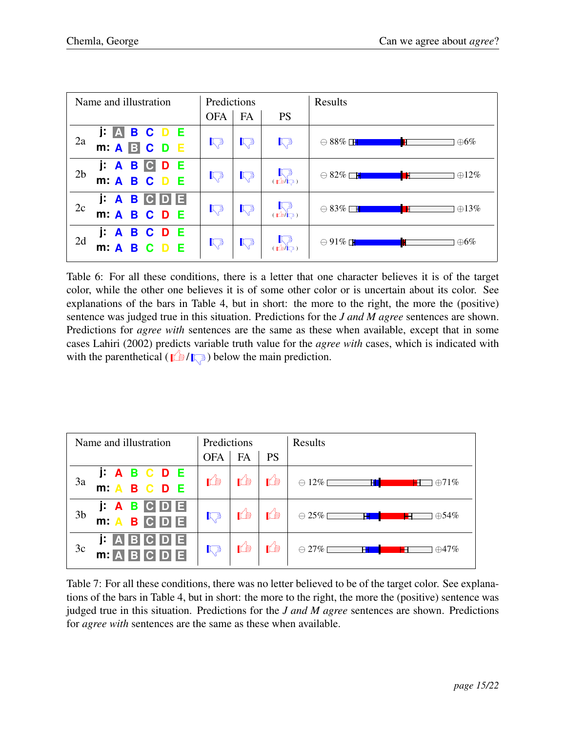| Name and illustration                            | Predictions    |                |                                                                                                   | Results                                  |
|--------------------------------------------------|----------------|----------------|---------------------------------------------------------------------------------------------------|------------------------------------------|
|                                                  | <b>OFA</b>     | FA             | <b>PS</b>                                                                                         |                                          |
| <b>j: A B C D E</b><br>m: <b>A B C D E</b><br>2a | $\mathbb{R}^3$ | $\mathbb{R}^3$ | $\mathbb{R}^3$                                                                                    | $\ominus$ 88% $\Box$<br>$\oplus 6\%$     |
| j: A B C D E<br>m: A B C D E<br>2 <sub>b</sub>   | $\mathbb{R}^3$ | $\mathbb{R}^3$ | $\overline{\mathbb{R}}$                                                                           | $\ominus$ 82% $\square$<br>$\oplus 12\%$ |
| <b>J A B C D E</b><br>2c<br>m: A B C D E         | $\mathbb{R}^3$ | $\mathbb{R}^3$ |                                                                                                   | $\ominus$ 83% $\Box$<br>$\oplus$ 13%     |
| J: A B C D E<br>m: A B C D E<br>2d               | $\nabla^3$     | $\sqrt{3}$     | $\begin{array}{cc} \text{F} & \text{F} \\ \text{F} & \text{F} \\ \text{F} & \text{F} \end{array}$ | $\ominus$ 91% $\Box$<br>$\oplus 6\%$     |

Table 6: For all these conditions, there is a letter that one character believes it is of the target color, while the other one believes it is of some other color or is uncertain about its color. See explanations of the bars in Table 4, but in short: the more to the right, the more the (positive) sentence was judged true in this situation. Predictions for the *J and M agree* sentences are shown. Predictions for *agree with* sentences are the same as these when available, except that in some cases Lahiri (2002) predicts variable truth value for the *agree with* cases, which is indicated with with the parenthetical ( $\left| \left( \frac{1}{2} \right) \right|$ ) below the main prediction.

| Name and illustration                                     | Predictions    |      |           | Results                              |
|-----------------------------------------------------------|----------------|------|-----------|--------------------------------------|
|                                                           | <b>OFA</b>     | FA   | <b>PS</b> |                                      |
| J A B C D E<br>3a<br>m: A B C D E                         | ré)            | ĽB   | ľB        | $\ominus$ 12% [<br>Н<br>$\oplus$ 71% |
| C D E <br>j: A B<br>3 <sub>b</sub><br>$m \cdot A$<br>BCDE | $\mathbb{R}^3$ | ľÊ   | ĽB        | $\ominus$ 25% [<br>Н<br>$\oplus$ 54% |
| H <br>E<br>BC<br>D<br>3c<br>$m: A$ BCDE                   | $\mathbb{R}^3$ | IL B | ĽB        | $\ominus$ 27% [<br>Н<br>$\oplus$ 47% |

Table 7: For all these conditions, there was no letter believed to be of the target color. See explanations of the bars in Table 4, but in short: the more to the right, the more the (positive) sentence was judged true in this situation. Predictions for the *J and M agree* sentences are shown. Predictions for *agree with* sentences are the same as these when available.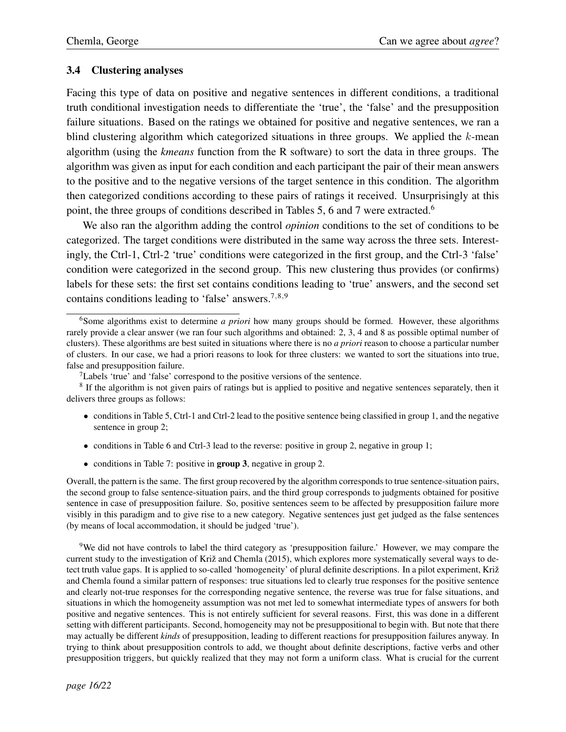#### 3.4 Clustering analyses

Facing this type of data on positive and negative sentences in different conditions, a traditional truth conditional investigation needs to differentiate the 'true', the 'false' and the presupposition failure situations. Based on the ratings we obtained for positive and negative sentences, we ran a blind clustering algorithm which categorized situations in three groups. We applied the *k*-mean algorithm (using the *kmeans* function from the R software) to sort the data in three groups. The algorithm was given as input for each condition and each participant the pair of their mean answers to the positive and to the negative versions of the target sentence in this condition. The algorithm then categorized conditions according to these pairs of ratings it received. Unsurprisingly at this point, the three groups of conditions described in Tables 5, 6 and 7 were extracted.<sup>6</sup>

We also ran the algorithm adding the control *opinion* conditions to the set of conditions to be categorized. The target conditions were distributed in the same way across the three sets. Interestingly, the Ctrl-1, Ctrl-2 'true' conditions were categorized in the first group, and the Ctrl-3 'false' condition were categorized in the second group. This new clustering thus provides (or confirms) labels for these sets: the first set contains conditions leading to 'true' answers, and the second set contains conditions leading to 'false' answers.7*,*8*,*<sup>9</sup>

- conditions in Table 5, Ctrl-1 and Ctrl-2 lead to the positive sentence being classified in group 1, and the negative sentence in group 2;
- conditions in Table 6 and Ctrl-3 lead to the reverse: positive in group 2, negative in group 1;
- conditions in Table 7: positive in **group 3**, negative in group 2.

Overall, the pattern is the same. The first group recovered by the algorithm corresponds to true sentence-situation pairs, the second group to false sentence-situation pairs, and the third group corresponds to judgments obtained for positive sentence in case of presupposition failure. So, positive sentences seem to be affected by presupposition failure more visibly in this paradigm and to give rise to a new category. Negative sentences just get judged as the false sentences (by means of local accommodation, it should be judged 'true').

9We did not have controls to label the third category as 'presupposition failure.' However, we may compare the current study to the investigation of Križ and Chemla (2015), which explores more systematically several ways to detect truth value gaps. It is applied to so-called 'homogeneity' of plural definite descriptions. In a pilot experiment, Križ and Chemla found a similar pattern of responses: true situations led to clearly true responses for the positive sentence and clearly not-true responses for the corresponding negative sentence, the reverse was true for false situations, and situations in which the homogeneity assumption was not met led to somewhat intermediate types of answers for both positive and negative sentences. This is not entirely sufficient for several reasons. First, this was done in a different setting with different participants. Second, homogeneity may not be presuppositional to begin with. But note that there may actually be different *kinds* of presupposition, leading to different reactions for presupposition failures anyway. In trying to think about presupposition controls to add, we thought about definite descriptions, factive verbs and other presupposition triggers, but quickly realized that they may not form a uniform class. What is crucial for the current

<sup>6</sup>Some algorithms exist to determine *a priori* how many groups should be formed. However, these algorithms rarely provide a clear answer (we ran four such algorithms and obtained: 2, 3, 4 and 8 as possible optimal number of clusters). These algorithms are best suited in situations where there is no *a priori* reason to choose a particular number of clusters. In our case, we had a priori reasons to look for three clusters: we wanted to sort the situations into true, false and presupposition failure.

 $7$ Labels 'true' and 'false' correspond to the positive versions of the sentence.

<sup>8</sup> If the algorithm is not given pairs of ratings but is applied to positive and negative sentences separately, then it delivers three groups as follows: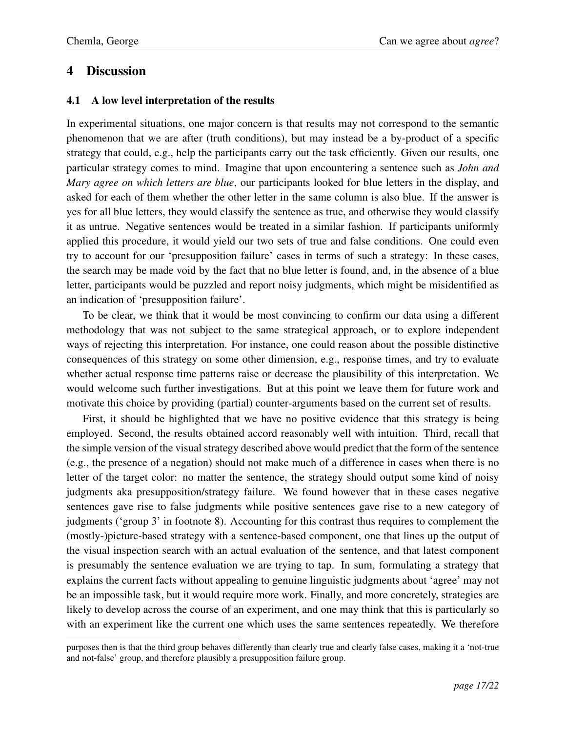# 4 Discussion

#### 4.1 A low level interpretation of the results

In experimental situations, one major concern is that results may not correspond to the semantic phenomenon that we are after (truth conditions), but may instead be a by-product of a specific strategy that could, e.g., help the participants carry out the task efficiently. Given our results, one particular strategy comes to mind. Imagine that upon encountering a sentence such as *John and Mary agree on which letters are blue*, our participants looked for blue letters in the display, and asked for each of them whether the other letter in the same column is also blue. If the answer is yes for all blue letters, they would classify the sentence as true, and otherwise they would classify it as untrue. Negative sentences would be treated in a similar fashion. If participants uniformly applied this procedure, it would yield our two sets of true and false conditions. One could even try to account for our 'presupposition failure' cases in terms of such a strategy: In these cases, the search may be made void by the fact that no blue letter is found, and, in the absence of a blue letter, participants would be puzzled and report noisy judgments, which might be misidentified as an indication of 'presupposition failure'.

To be clear, we think that it would be most convincing to confirm our data using a different methodology that was not subject to the same strategical approach, or to explore independent ways of rejecting this interpretation. For instance, one could reason about the possible distinctive consequences of this strategy on some other dimension, e.g., response times, and try to evaluate whether actual response time patterns raise or decrease the plausibility of this interpretation. We would welcome such further investigations. But at this point we leave them for future work and motivate this choice by providing (partial) counter-arguments based on the current set of results.

First, it should be highlighted that we have no positive evidence that this strategy is being employed. Second, the results obtained accord reasonably well with intuition. Third, recall that the simple version of the visual strategy described above would predict that the form of the sentence (e.g., the presence of a negation) should not make much of a difference in cases when there is no letter of the target color: no matter the sentence, the strategy should output some kind of noisy judgments aka presupposition/strategy failure. We found however that in these cases negative sentences gave rise to false judgments while positive sentences gave rise to a new category of judgments ('group 3' in footnote 8). Accounting for this contrast thus requires to complement the (mostly-)picture-based strategy with a sentence-based component, one that lines up the output of the visual inspection search with an actual evaluation of the sentence, and that latest component is presumably the sentence evaluation we are trying to tap. In sum, formulating a strategy that explains the current facts without appealing to genuine linguistic judgments about 'agree' may not be an impossible task, but it would require more work. Finally, and more concretely, strategies are likely to develop across the course of an experiment, and one may think that this is particularly so with an experiment like the current one which uses the same sentences repeatedly. We therefore

purposes then is that the third group behaves differently than clearly true and clearly false cases, making it a 'not-true and not-false' group, and therefore plausibly a presupposition failure group.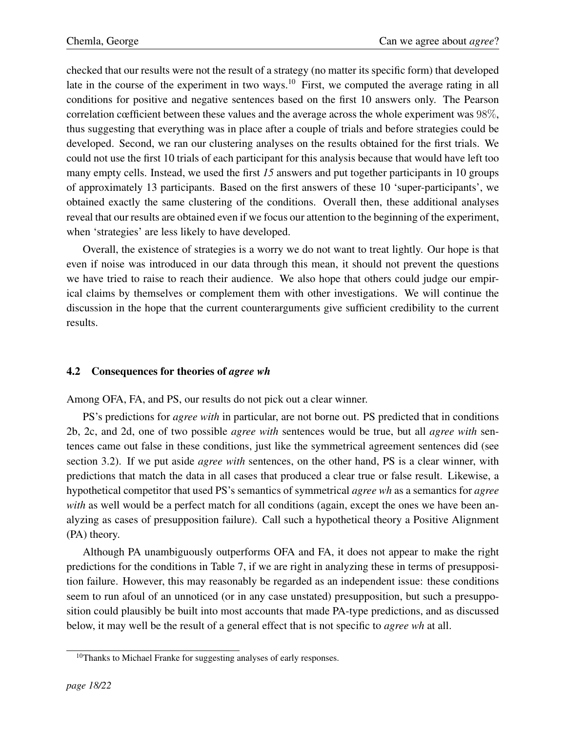checked that our results were not the result of a strategy (no matter its specific form) that developed late in the course of the experiment in two ways.<sup>10</sup> First, we computed the average rating in all conditions for positive and negative sentences based on the first 10 answers only. The Pearson correlation cœfficient between these values and the average across the whole experiment was 98%, thus suggesting that everything was in place after a couple of trials and before strategies could be developed. Second, we ran our clustering analyses on the results obtained for the first trials. We could not use the first 10 trials of each participant for this analysis because that would have left too many empty cells. Instead, we used the first *15* answers and put together participants in 10 groups of approximately 13 participants. Based on the first answers of these 10 'super-participants', we obtained exactly the same clustering of the conditions. Overall then, these additional analyses reveal that our results are obtained even if we focus our attention to the beginning of the experiment, when 'strategies' are less likely to have developed.

Overall, the existence of strategies is a worry we do not want to treat lightly. Our hope is that even if noise was introduced in our data through this mean, it should not prevent the questions we have tried to raise to reach their audience. We also hope that others could judge our empirical claims by themselves or complement them with other investigations. We will continue the discussion in the hope that the current counterarguments give sufficient credibility to the current results.

### 4.2 Consequences for theories of *agree wh*

Among OFA, FA, and PS, our results do not pick out a clear winner.

PS's predictions for *agree with* in particular, are not borne out. PS predicted that in conditions 2b, 2c, and 2d, one of two possible *agree with* sentences would be true, but all *agree with* sentences came out false in these conditions, just like the symmetrical agreement sentences did (see section 3.2). If we put aside *agree with* sentences, on the other hand, PS is a clear winner, with predictions that match the data in all cases that produced a clear true or false result. Likewise, a hypothetical competitor that used PS's semantics of symmetrical *agree wh* as a semantics for *agree with* as well would be a perfect match for all conditions (again, except the ones we have been analyzing as cases of presupposition failure). Call such a hypothetical theory a Positive Alignment (PA) theory.

Although PA unambiguously outperforms OFA and FA, it does not appear to make the right predictions for the conditions in Table 7, if we are right in analyzing these in terms of presupposition failure. However, this may reasonably be regarded as an independent issue: these conditions seem to run afoul of an unnoticed (or in any case unstated) presupposition, but such a presupposition could plausibly be built into most accounts that made PA-type predictions, and as discussed below, it may well be the result of a general effect that is not specific to *agree wh* at all.

<sup>&</sup>lt;sup>10</sup>Thanks to Michael Franke for suggesting analyses of early responses.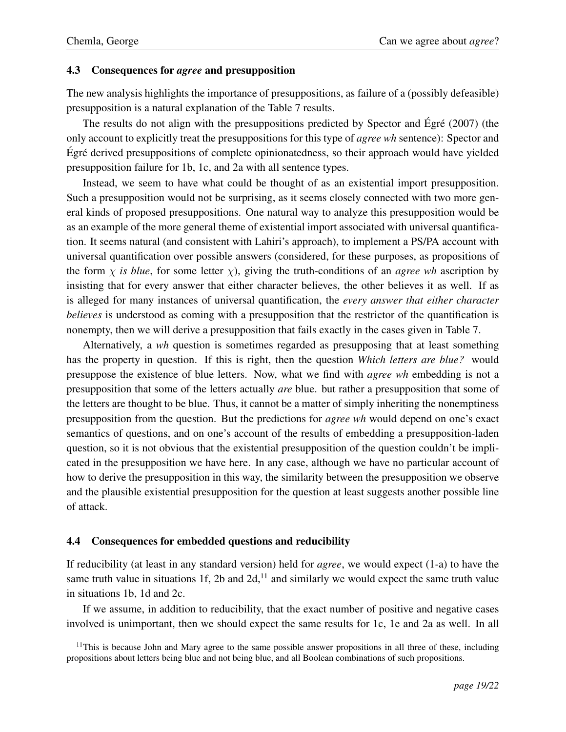#### 4.3 Consequences for *agree* and presupposition

The new analysis highlights the importance of presuppositions, as failure of a (possibly defeasible) presupposition is a natural explanation of the Table 7 results.

The results do not align with the presuppositions predicted by Spector and Égré  $(2007)$  (the only account to explicitly treat the presuppositions for this type of *agree wh* sentence): Spector and Egré derived presuppositions of complete opinionatedness, so their approach would have yielded presupposition failure for 1b, 1c, and 2a with all sentence types.

Instead, we seem to have what could be thought of as an existential import presupposition. Such a presupposition would not be surprising, as it seems closely connected with two more general kinds of proposed presuppositions. One natural way to analyze this presupposition would be as an example of the more general theme of existential import associated with universal quantification. It seems natural (and consistent with Lahiri's approach), to implement a PS/PA account with universal quantification over possible answers (considered, for these purposes, as propositions of the form  $\chi$  is blue, for some letter  $\chi$ ), giving the truth-conditions of an *agree wh* ascription by insisting that for every answer that either character believes, the other believes it as well. If as is alleged for many instances of universal quantification, the *every answer that either character believes* is understood as coming with a presupposition that the restrictor of the quantification is nonempty, then we will derive a presupposition that fails exactly in the cases given in Table 7.

Alternatively, a *wh* question is sometimes regarded as presupposing that at least something has the property in question. If this is right, then the question *Which letters are blue?* would presuppose the existence of blue letters. Now, what we find with *agree wh* embedding is not a presupposition that some of the letters actually *are* blue. but rather a presupposition that some of the letters are thought to be blue. Thus, it cannot be a matter of simply inheriting the nonemptiness presupposition from the question. But the predictions for *agree wh* would depend on one's exact semantics of questions, and on one's account of the results of embedding a presupposition-laden question, so it is not obvious that the existential presupposition of the question couldn't be implicated in the presupposition we have here. In any case, although we have no particular account of how to derive the presupposition in this way, the similarity between the presupposition we observe and the plausible existential presupposition for the question at least suggests another possible line of attack.

#### 4.4 Consequences for embedded questions and reducibility

If reducibility (at least in any standard version) held for *agree*, we would expect (1-a) to have the same truth value in situations 1f, 2b and 2d, $^{11}$  and similarly we would expect the same truth value in situations 1b, 1d and 2c.

If we assume, in addition to reducibility, that the exact number of positive and negative cases involved is unimportant, then we should expect the same results for 1c, 1e and 2a as well. In all

 $11$ This is because John and Mary agree to the same possible answer propositions in all three of these, including propositions about letters being blue and not being blue, and all Boolean combinations of such propositions.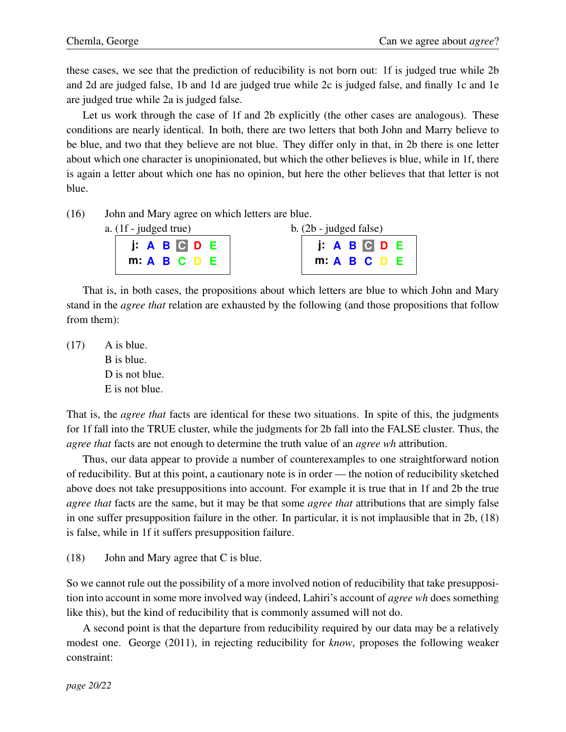these cases, we see that the prediction of reducibility is not born out: 1f is judged true while 2b and 2d are judged false, 1b and 1d are judged true while 2c is judged false, and finally 1c and 1e are judged true while 2a is judged false.

Let us work through the case of 1f and 2b explicitly (the other cases are analogous). These conditions are nearly identical. In both, there are two letters that both John and Marry believe to be blue, and two that they believe are not blue. They differ only in that, in 2b there is one letter about which one character is unopinionated, but which the other believes is blue, while in 1f, there is again a letter about which one has no opinion, but here the other believes that that letter is not blue.

(16) John and Mary agree on which letters are blue.

| a. (1f - judged true) |  |
|-----------------------|--|
| J: A B C D            |  |
| m: A B C              |  |

| $b.$ (2b - judged false) |  |            |     |  |
|--------------------------|--|------------|-----|--|
|                          |  | I: A B C D | - 6 |  |
|                          |  | m: A B C D | - E |  |
|                          |  |            |     |  |

That is, in both cases, the propositions about which letters are blue to which John and Mary stand in the *agree that* relation are exhausted by the following (and those propositions that follow from them):

 $(17)$  A is blue. B is blue. D is not blue. E is not blue.

That is, the *agree that* facts are identical for these two situations. In spite of this, the judgments for 1f fall into the TRUE cluster, while the judgments for 2b fall into the FALSE cluster. Thus, the *agree that* facts are not enough to determine the truth value of an *agree wh* attribution.

Thus, our data appear to provide a number of counterexamples to one straightforward notion of reducibility. But at this point, a cautionary note is in order — the notion of reducibility sketched above does not take presuppositions into account. For example it is true that in 1f and 2b the true *agree that* facts are the same, but it may be that some *agree that* attributions that are simply false in one suffer presupposition failure in the other. In particular, it is not implausible that in 2b, (18) is false, while in 1f it suffers presupposition failure.

(18) John and Mary agree that C is blue.

So we cannot rule out the possibility of a more involved notion of reducibility that take presupposition into account in some more involved way (indeed, Lahiri's account of *agree wh* does something like this), but the kind of reducibility that is commonly assumed will not do.

A second point is that the departure from reducibility required by our data may be a relatively modest one. George (2011), in rejecting reducibility for *know*, proposes the following weaker constraint: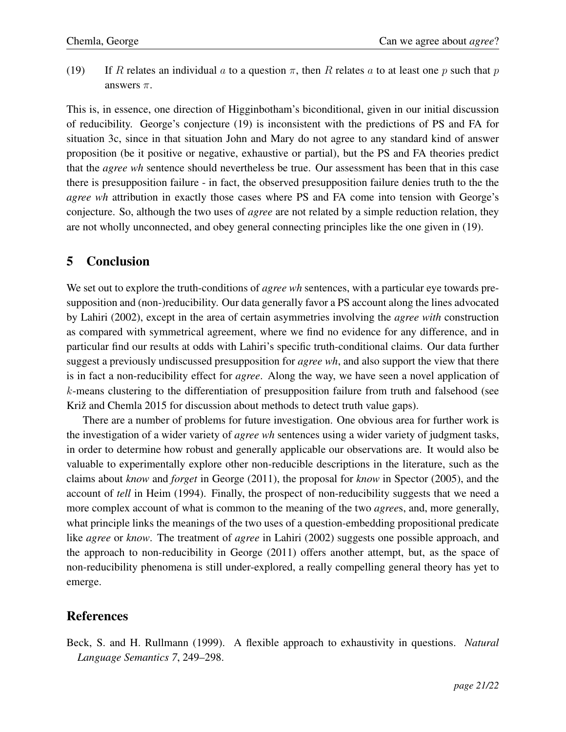(19) If *R* relates an individual *a* to a question  $\pi$ , then *R* relates *a* to at least one *p* such that *p* answers  $\pi$ .

This is, in essence, one direction of Higginbotham's biconditional, given in our initial discussion of reducibility. George's conjecture (19) is inconsistent with the predictions of PS and FA for situation 3c, since in that situation John and Mary do not agree to any standard kind of answer proposition (be it positive or negative, exhaustive or partial), but the PS and FA theories predict that the *agree wh* sentence should nevertheless be true. Our assessment has been that in this case there is presupposition failure - in fact, the observed presupposition failure denies truth to the the *agree wh* attribution in exactly those cases where PS and FA come into tension with George's conjecture. So, although the two uses of *agree* are not related by a simple reduction relation, they are not wholly unconnected, and obey general connecting principles like the one given in (19).

## 5 Conclusion

We set out to explore the truth-conditions of *agree wh* sentences, with a particular eye towards presupposition and (non-)reducibility. Our data generally favor a PS account along the lines advocated by Lahiri (2002), except in the area of certain asymmetries involving the *agree with* construction as compared with symmetrical agreement, where we find no evidence for any difference, and in particular find our results at odds with Lahiri's specific truth-conditional claims. Our data further suggest a previously undiscussed presupposition for *agree wh*, and also support the view that there is in fact a non-reducibility effect for *agree*. Along the way, we have seen a novel application of *k*-means clustering to the differentiation of presupposition failure from truth and falsehood (see Križ and Chemla 2015 for discussion about methods to detect truth value gaps).

There are a number of problems for future investigation. One obvious area for further work is the investigation of a wider variety of *agree wh* sentences using a wider variety of judgment tasks, in order to determine how robust and generally applicable our observations are. It would also be valuable to experimentally explore other non-reducible descriptions in the literature, such as the claims about *know* and *forget* in George (2011), the proposal for *know* in Spector (2005), and the account of *tell* in Heim (1994). Finally, the prospect of non-reducibility suggests that we need a more complex account of what is common to the meaning of the two *agree*s, and, more generally, what principle links the meanings of the two uses of a question-embedding propositional predicate like *agree* or *know*. The treatment of *agree* in Lahiri (2002) suggests one possible approach, and the approach to non-reducibility in George (2011) offers another attempt, but, as the space of non-reducibility phenomena is still under-explored, a really compelling general theory has yet to emerge.

# References

Beck, S. and H. Rullmann (1999). A flexible approach to exhaustivity in questions. *Natural Language Semantics 7*, 249–298.